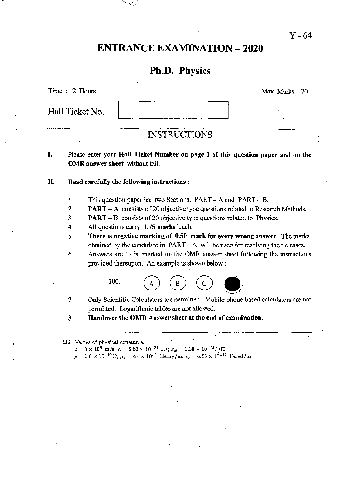## ENTRANCE EXAMINATION - 2020

## Ph.D. Physics

Time : 2 Hours Max. Marks: 70

Hall Ticket No.

 $Y - 64$ 

### INSTRUCTIONS

I. Please enter your Hall Ticket Number on page 1 of this question paper and on the OMR answer sheet without fail.

#### II. Read carefully the following instructions:

- 1. This question paper has two Sections: PART A and PART B.
- 2. **PART** A consists of 20 objective type questions related to Research Methods.
- 3. PART B consists of 20 objective type questions related to Physics.
- 4. All questions carry 1.75 marks' each.
- 5. There is negative marking of 0.50 mark for every wrong answer. The marks obtained by the candidate in PART - A will be used for resolving the tie *cases.*
- 6. Answers are to be marked on the OMR answer sheet following the instructions provided thereupon. An example is shown below :



7. Only Scientific Calculators are pennitted. Mobile phone based calculators are not pennitted. Logarithmic tables are not allowed.

•

8. Handover the OMR Answer sheet at the end of examination .

#### III. Values of physical constants:

 $c=3\times 10^8$  *m/s; h* = 6.63 × 10<sup>-34</sup> J.s;  $k_B = 1.38 \times 10^{-23}$  J/K  $e = 1.6 \times 10^{-19} \text{ C}; \mu_{\text{o}} = 4\pi \times 10^{-7} \text{ Henry/m}; \epsilon_{\text{o}} = 8.85 \times 10^{-12} \text{ Farad/m}$ 

1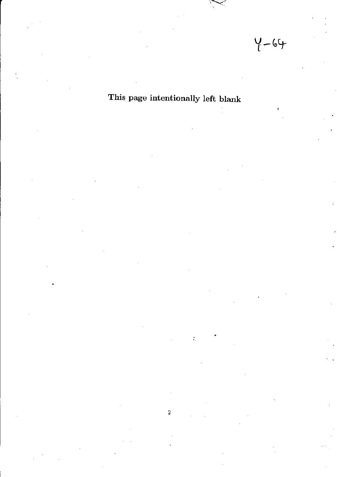# This page intentionally left blank

•  $\tilde{\mathcal{L}}_1$ 

2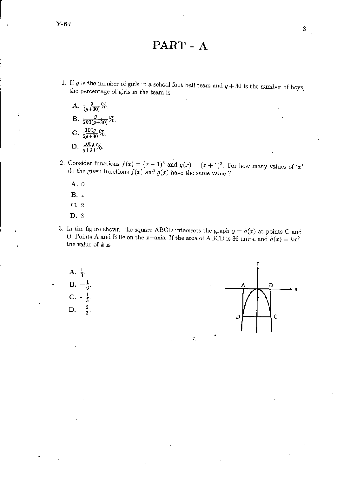Y-64

PART - A

- 1. If  $g$  is the number of girls in a school foot ball team and  $g + 30$  is the number of boys, the percentage of girls in the team is
	- A.  $\frac{g}{(g+30)}\%$ . B.  $\frac{g}{200(g+30)}\%$ . c.  $\frac{100g}{2g+30}\%$ . D.  $\frac{100g}{g+30}\%$ .
- 2. Consider functions  $f(x) = (x 1)^3$  and  $g(x) = (x + 1)^3$ . For how many values of 'x' do the given functions  $f(x)$  and  $g(x)$  have the same value?
	- A. 0
	- B. 1
	- c. 2
	- D. 3
- 3. In the figure shown, the square ABCD intersects the graph  $y = h(x)$  at points C and D. Points A and B lie on the x-axis. If the area of ABCD is 36 units, and  $h(x) = kx^2$ , the value of *k* is

.



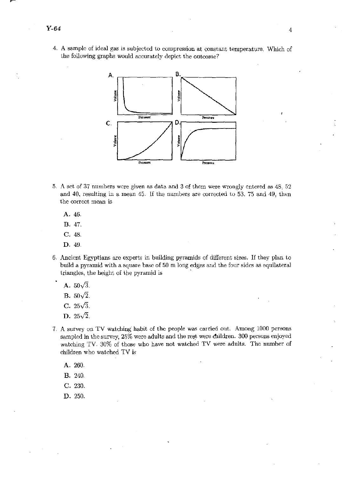4. A sample of ideal gas is subjected to compression at constant temperature. Which of the following graphs would accurately depict the outcome?

4



- 5. A set of 37 numbers were given as data and 3 of them were wrongly entered as 48, 52 and 40, resulting in a mean 45. If the numbers are corrected to 53, 75 and 19, then the correct mean is
	- A.46.
	- B.47.
	- C.48.
	- **D.49.**
- 6. Ancient Egyptians are experts in building pyramids of different sizes. If they plan to build a pyramid with a square base of 50 m long edges and the four sides as equilateral triangles, the height of the pyramid is
	- A.  $50\sqrt{3}$ .

**B.**  $50\sqrt{2}$ .

- $C. 25\sqrt{3}$ .
- **D.**  $25\sqrt{2}$ .
- 7. A survey on TV watching' habit of the people was carried out. Among 1000 persons sampled in the survey, 25% were adults and the rest were children. 300 persons enjoyed watching TV. 30% of those who have not watched TV were adults. The number of children who watched TV is
	- A.260.
	- B. 240.
	- C. 230.
	- D. 250.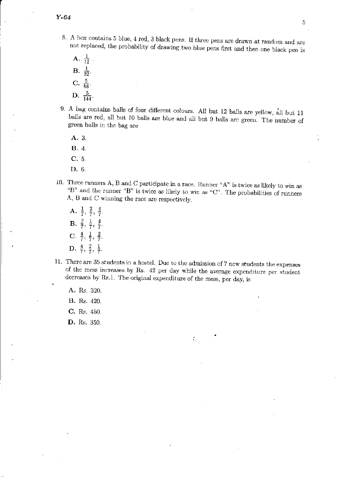- 8. A box contains 5 blue, 4 red, 3 black pens. If three pens are drawn at random and are not replaced, the probability of drawing two blue pens first and then one black pen is
	- A.  $\frac{1}{11}$  $\mathbf{B.} \ \frac{1}{22}$ . C.  $\frac{5}{88}$ .  $D. \frac{5}{144}.$
- 9. A bag contains balls of four different colours. All but 12 balls are yellow, all but 11 balls are red, all but 10 balls are blue and all but 9 balls are green. The number of green balls in the bag are

A.3. B.4. *C.5.*  D.6.

- 10. Three runners A, Band C participate in a race. Runner "A" is twice as likely to win as "B" and the runner "B" is twice as likely to win as "C". The probabilities of runners A,  $B$  and  $C$  winning the race are respectively,
	- A.  $\frac{1}{7}$ ,  $\frac{2}{7}$ ,  $\frac{4}{7}$ . B.  $\frac{2}{7}, \frac{1}{7}, \frac{4}{7}$ . C.  $\frac{4}{7}, \frac{1}{7}, \frac{2}{7}$ . D.  $\frac{4}{7}, \frac{2}{7}, \frac{1}{7}$ .
- 11. There are 35 students in a hosteL Due to the admission of 7 new students the expenses of the mess increases by Rs. 42 per day while the average expenditure per student decreases by Rs.1. The original expenditure of the mess, per day, is

•

÷.

- A. Rs. 320.
- B. *Rs. 420.*
- C. Rs. 450.
- D. Rs. 350.

5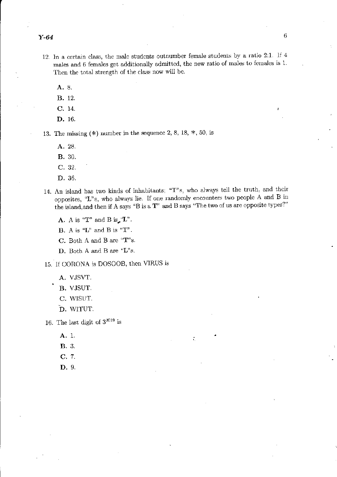- 12. In a certain class, the male students outnumber female students by a ratio 2:1. If 4 males and  $6$  females get additionally admitted, the new ratio of males to females is  $1$ . Then the total strength of the class now will be.
	- A. 8.
	- B. 12.
	- C. 14.
	- D.16.

13. The missing  $(*)$  number in the sequence 2, 8, 18,  $*$ , 50, is

- A.28.
- B.30.
- C.32.
- D.36.
- 14. An island has two kinds of inhabitants: "T"s, who always tell the truth, and their opposites, "L"s, who always lie. If one randomly encounters two people A and B in the island,and then if A says "B is a T" and B says "The two of us are opposite types?"

•

A. A is "T" and B is  $_{\bullet}$ "L".

**B.** A is " $L$ " and B is " $T$ ".

C. Both A and B arc "T"s.

D. Both A and B are "L"s.

15. If CORONA is DOSOOB, then VIRUS is

- A. VJSVT.
- B. VJSUT.
- C. WISUT.
- D. WITUT.

16. The last digit of  $3^{2019}$  is

- A. 1.
- B.3.
- C.7.
- D. 9.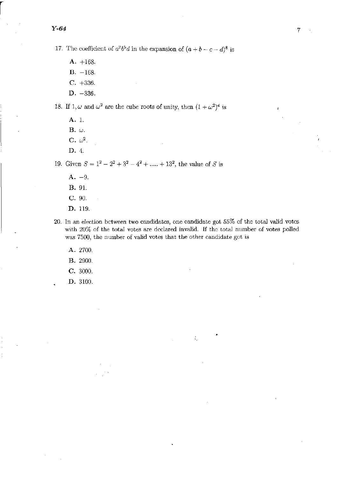r

17. The coefficient of  $a^2b^5d$  in the expansion of  $(a + b - c - d)^8$  is

- A. +168.
- $B. -168.$
- C. +336.
- D. -336.

18. If  $1, \omega$  and  $\omega^2$  arc the cube roots of unity, then  $(1 + \omega^2)^4$  is

A. 1.

 $B.$   $\omega$ .

- C.  $\omega^2$ .
- D. 4.

19. Given  $S = 1^2 - 2^2 + 3^2 - 4^2 + \dots + 13^2$ , the value of S is

- $A. -9.$
- B. 91.
- C. 00.
- D. 119.
- 20. In an election between two candidates, one candidate got 55% of the total valid votes with 20% of the total votes are declared invalid. If the total number of votes polled was 7500, the number of valid votes that the other candidate got is

•

'.

- A. 2700.
- B. 2000.
- C. 3000.
- D. 3100.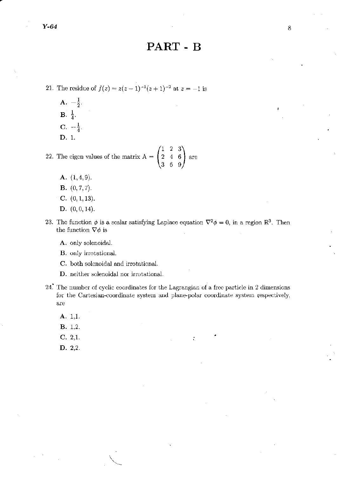## PART - B

21. The residue of  $f(z) = z(z-1)^{-1}(z+1)^{-2}$  at  $z = -1$  is

A.  $-\frac{1}{2}$ .  $\mathbf{B}.\ \frac{1}{4}.$ C.  $-\frac{1}{4}$ . D. 1.

**D.** 1.<br>
22. The eigen values of the matrix  $A = \begin{pmatrix} 1 & 2 & 3 \\ 2 & 4 & 6 \\ 3 & 6 & 9 \end{pmatrix}$  are

- A. (1.4,9).
- B. (0,7,7).
- C.  $(0, 1, 13)$ .
- D. (0,0,14).
- 23. The function  $\phi$  is a scalar satisfying Laplace equation  $\nabla^2 \phi = 0$ , in a region  $\mathbb{R}^3$ . Then the function  $\nabla \phi$  is
	- A. only solenoidal.
	- B. only irrotational.
	- C. both solenoidal and irrotational.
	- **D.** neither solenoidal nor irrotational.
- 24~ The number of cyclic coordinates for the Lagrangian of a free particle in 2 dimensions for the Cartesian-coordinate system and plane-polar coordinate system respectively, arc

•

÷.

- A. 1,1.
- B. 1.2.
- C. 2,1.
- D. 2,2.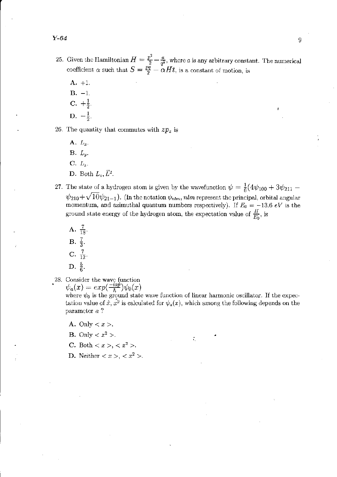- $\frac{1}{2}$ 25. Given the Hamiltonian  $H = \frac{p^2}{2} - \frac{a}{q^2}$ , where *a* is any arbitrary constant. The numerical coefficient  $\alpha$  such that  $S = \frac{pq}{2} - \alpha Ht$ , is a constant of motion, is
	- A. +J.  $B. -1.$  $C. + \frac{1}{2}$  $D. -\frac{1}{2}.$

26. The quantity that commutes with  $zp<sub>z</sub>$  is

A. *Lx.*   $\mathbf{B}$ *.*  $L_y$ *.*  $C. L_z.$ D. Both  $L_z$ ,  $\tilde{L}^2$ .

- 27. The state of a hydrogen atom is given by the wavefunction  $\psi = \frac{1}{6}(4\psi_{100} + 3\psi_{211} \psi_{210} + \sqrt{10}\psi_{21-1}$ ). (In the notation  $\psi_{nlm}$ ,  $nlm$  represent the principal, orbital angular momentum, and azimuthal quantum numbers respectively). If  $E_0 = -13.6 \text{ eV}$  is the ground state energy of the hydrogen atom, the expectation value of  $\frac{H}{E_0}$ , is
	- A.  $\frac{7}{18}$ .  $\mathbf{B.} \frac{7}{3}.$ C.  $\frac{7}{12}$ . D.  $\frac{5}{6}$ .
- 28. Consider the wave function

 $\psi_a(x) = exp(\frac{-iap}{\hbar})\psi_0(x)$ 

where  $\psi_0$  is the ground state wave function of linear harmonic oscillator. If the expectation value of  $\hat{x}, \hat{x}^2$  is calculated for  $\psi_a(x)$ , which among the following depends on the parameter *a* ?

- A. Only  $\langle x \rangle$ .
- **B.** Only  $\langle x^2 \rangle$ .
- **C.** Both  $\langle x \rangle, \langle x^2 \rangle.$
- D. Neither  $\langle x \rangle, \langle x^2 \rangle$ .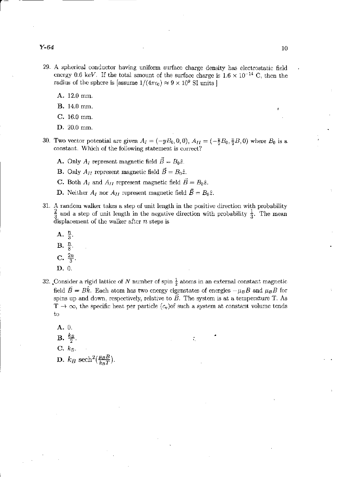- 29. A spherical conductor having uniform surface charge density has electrostatic field energy 0.6 keV. If the total amount of the surface charge is  $1.6 \times 10^{-14}$  C, then the radius of the sphere is [assume  $1/(4\pi\epsilon_0) \approx 9 \times 10^9$  SI units ]
	- A. 12.0 mm.
	- B. 14.0 nun.
	- C. 16.0 mm.
	- D. 20.0 mm.
- 30. Two vector potential are given  $A_I = (-yB_0, 0, 0), A_{II} = (-\frac{y}{2}B_0, \frac{x}{2}B, 0)$  where  $B_0$  is a constant. Which of the following statement is correct?
	- A. Only  $A_I$  represent magnetic field  $\vec{B} = B_0 \hat{z}$ .
	- **B.** Only  $A_{II}$  represent magnetic field  $\vec{B} = B_0 \hat{z}$ .
	- C. Both  $A_I$  and  $A_{II}$  represent magnetic field  $\vec{B} = B_0 \hat{z}$ .
	- **D.** Neither  $A_I$  nor  $A_{II}$  represent magnetic field  $\vec{B} = B_0 \hat{z}$ .
- 31. A random walker takes a step of unit length in the positive direction with probability  $\frac{2}{3}$  and a step of unit length in the negative direction with probability  $\frac{1}{3}$ . The mean displacement of the walker after *n* steps is
	- $A. \frac{n}{3}$
	- $\mathbf{B}$ .  $\frac{n}{8}$ .
	-
	- **C.**  $\frac{2n}{3}$
	- D. O.
- 32. Consider a rigid lattice of N number of spin  $\frac{1}{2}$  atoms in an external constant magnetic field  $\vec{B} = B\hat{k}$ . Each atom has two energy eigenstates of energies  $-\mu_B B$  and  $\mu_B B$  for spins up and down, respectively, relative to  $\vec{B}$ . The system is at a temperature T. As  $T \rightarrow \infty$ , the specific heat per particle  $(c_v)$  of such a system at constant volume tends to

•

A. O.  $\mathbf{B.} \frac{\kappa}{2}$ .  $\mathbf{C.}$   $\mathbf{k}_B$ . D.  $k_B \text{ sech}^2(\frac{\mu_B B}{k_B T})$ .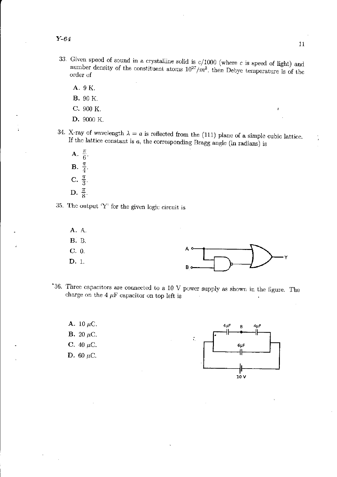- 33. Given speed of sound in a crystalline solid is  $c/1000$  (where c is speed of light) and number density of the constituent atoms  $10^{27}/m^3$ , then Debye temperature is of the order of
	- A. 9 K.
	- **B.** 90 K.
	- C. 900 K.
	- D. 9000 K.
- 34. X-ray of wavelength  $\lambda = a$  is reflected from the (111) plane of a simple cubic lattice. If the lattice constant is  $a$ , the corresponding Bragg angle (in radians) is
	- A.  $\frac{\pi}{6}$ **B.**  $\frac{\pi}{4}$ <br>**C.**  $\frac{\pi}{3}$ . D.  $\frac{\pi}{8}$ .
- 35. The output  $'Y'$  for the given logic circuit is
- A. A. **B.** B.  $C. 0.$ D. 1.  $B<sub>0</sub>$
- $36.$  Three capacitors are connected to a 10 V power supply as shown in the figure. The charge on the 4  $\mu$ F capacitor on top left is
	- A. 10  $\mu$ C. **B.** 20  $\mu$ C. C. 40  $\mu$ C. D. 60  $\mu$ C.